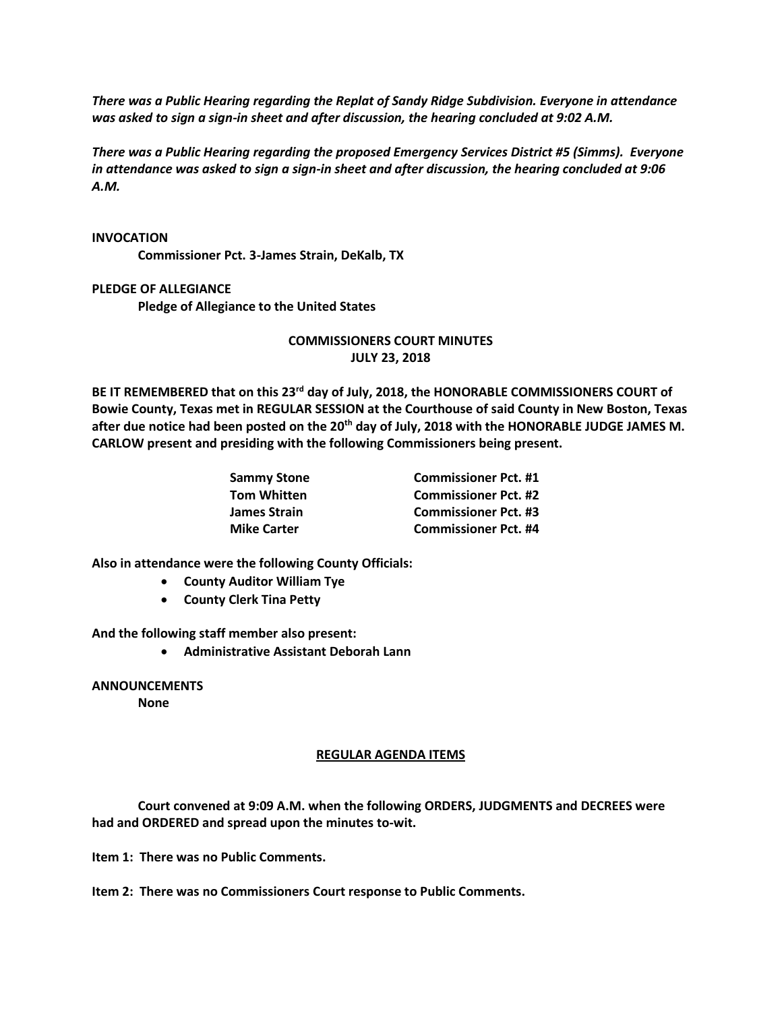*There was a Public Hearing regarding the Replat of Sandy Ridge Subdivision. Everyone in attendance was asked to sign a sign-in sheet and after discussion, the hearing concluded at 9:02 A.M.*

*There was a Public Hearing regarding the proposed Emergency Services District #5 (Simms). Everyone in attendance was asked to sign a sign-in sheet and after discussion, the hearing concluded at 9:06 A.M.*

## **INVOCATION**

**Commissioner Pct. 3-James Strain, DeKalb, TX**

## **PLEDGE OF ALLEGIANCE**

**Pledge of Allegiance to the United States**

## **COMMISSIONERS COURT MINUTES JULY 23, 2018**

**BE IT REMEMBERED that on this 23rd day of July, 2018, the HONORABLE COMMISSIONERS COURT of Bowie County, Texas met in REGULAR SESSION at the Courthouse of said County in New Boston, Texas after due notice had been posted on the 20th day of July, 2018 with the HONORABLE JUDGE JAMES M. CARLOW present and presiding with the following Commissioners being present.**

| <b>Sammy Stone</b> | <b>Commissioner Pct. #1</b> |
|--------------------|-----------------------------|
| <b>Tom Whitten</b> | <b>Commissioner Pct. #2</b> |
| James Strain       | <b>Commissioner Pct. #3</b> |
| <b>Mike Carter</b> | <b>Commissioner Pct. #4</b> |

**Also in attendance were the following County Officials:**

- **County Auditor William Tye**
- **County Clerk Tina Petty**

**And the following staff member also present:**

• **Administrative Assistant Deborah Lann**

**ANNOUNCEMENTS None**

## **REGULAR AGENDA ITEMS**

**Court convened at 9:09 A.M. when the following ORDERS, JUDGMENTS and DECREES were had and ORDERED and spread upon the minutes to-wit.**

**Item 1: There was no Public Comments.**

**Item 2: There was no Commissioners Court response to Public Comments.**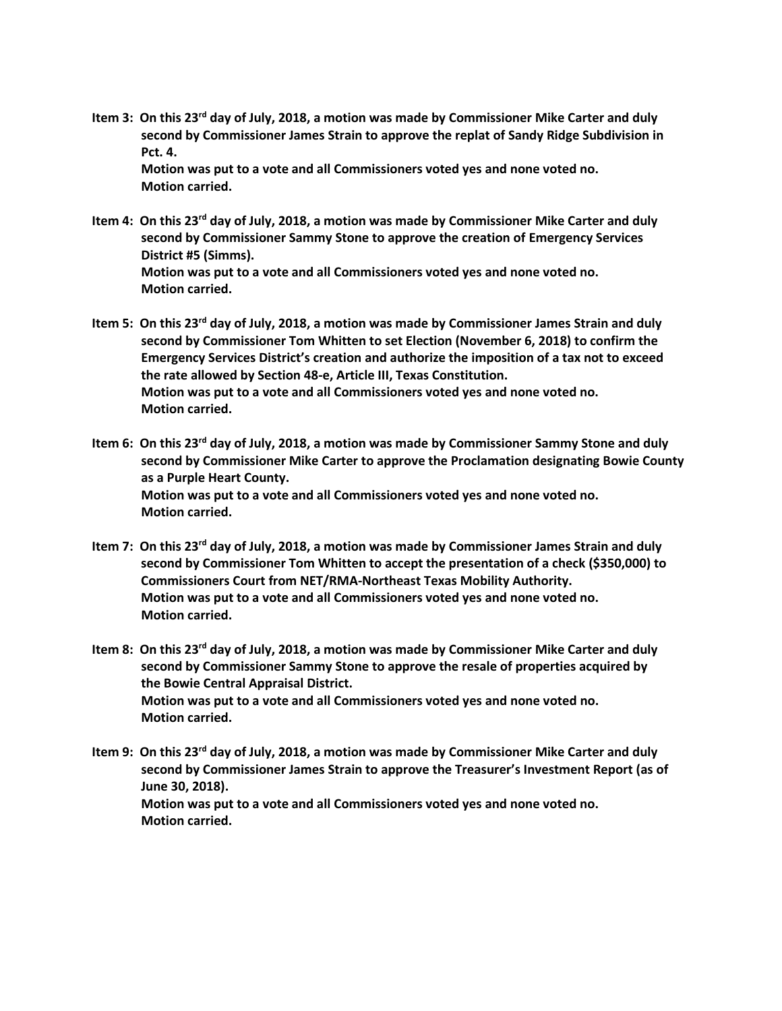**Item 3: On this 23rd day of July, 2018, a motion was made by Commissioner Mike Carter and duly second by Commissioner James Strain to approve the replat of Sandy Ridge Subdivision in Pct. 4.**

**Motion was put to a vote and all Commissioners voted yes and none voted no. Motion carried.**

- **Item 4: On this 23rd day of July, 2018, a motion was made by Commissioner Mike Carter and duly second by Commissioner Sammy Stone to approve the creation of Emergency Services District #5 (Simms). Motion was put to a vote and all Commissioners voted yes and none voted no. Motion carried.**
- **Item 5: On this 23rd day of July, 2018, a motion was made by Commissioner James Strain and duly second by Commissioner Tom Whitten to set Election (November 6, 2018) to confirm the Emergency Services District's creation and authorize the imposition of a tax not to exceed the rate allowed by Section 48-e, Article III, Texas Constitution. Motion was put to a vote and all Commissioners voted yes and none voted no. Motion carried.**
- **Item 6: On this 23rd day of July, 2018, a motion was made by Commissioner Sammy Stone and duly second by Commissioner Mike Carter to approve the Proclamation designating Bowie County as a Purple Heart County. Motion was put to a vote and all Commissioners voted yes and none voted no. Motion carried.**
- **Item 7: On this 23rd day of July, 2018, a motion was made by Commissioner James Strain and duly second by Commissioner Tom Whitten to accept the presentation of a check (\$350,000) to Commissioners Court from NET/RMA-Northeast Texas Mobility Authority. Motion was put to a vote and all Commissioners voted yes and none voted no. Motion carried.**
- **Item 8: On this 23rd day of July, 2018, a motion was made by Commissioner Mike Carter and duly second by Commissioner Sammy Stone to approve the resale of properties acquired by the Bowie Central Appraisal District. Motion was put to a vote and all Commissioners voted yes and none voted no. Motion carried.**
- **Item 9: On this 23rd day of July, 2018, a motion was made by Commissioner Mike Carter and duly second by Commissioner James Strain to approve the Treasurer's Investment Report (as of June 30, 2018). Motion was put to a vote and all Commissioners voted yes and none voted no. Motion carried.**